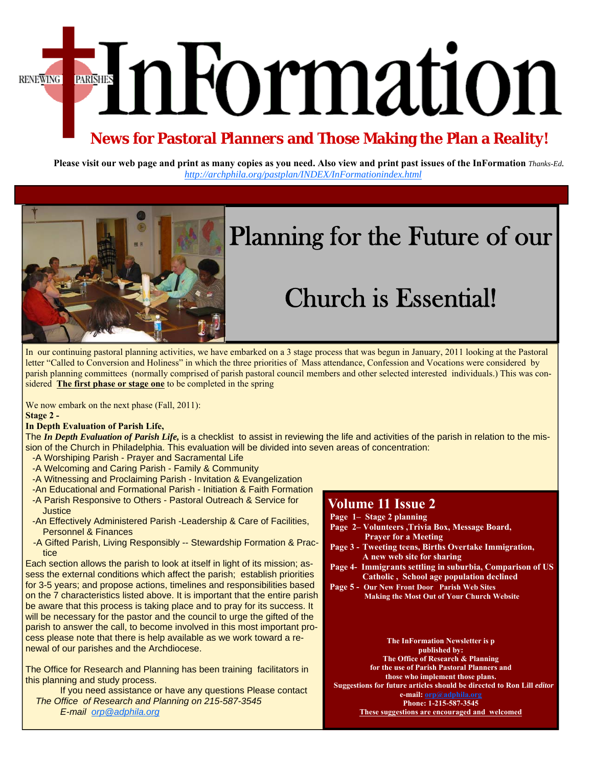EnFormation **RENEWING** 

## **News for Pastoral Planners and Those Making the Plan a Reality!**

**Please visit our web page and print as many copies as you need. Also view and print past issues of the InFormation** *Thanks-Ed. http://archphila.org/pastplan/INDEX/InFormationindex.html* 



# Planning for the Future of our

# Church is Essential!

In our continuing pastoral planning activities, we have embarked on a 3 stage process that was begun in January, 2011 looking at the Pastoral letter "Called to Conversion and Holiness" in which the three priorities of Mass attendance, Confession and Vocations were considered by parish planning committees (normally comprised of parish pastoral council members and other selected interested individuals.) This was considered **The first phase or stage one** to be completed in the spring

We now embark on the next phase (Fall, 2011):

**Stage 2 -** 

### **In Depth Evaluation of Parish Life,**

The *In Depth Evaluation of Parish Life,* is a checklist to assist in reviewing the life and activities of the parish in relation to the mission of the Church in Philadelphia. This evaluation will be divided into seven areas of concentration:

- -A Worshiping Parish Prayer and Sacramental Life
- -A Welcoming and Caring Parish Family & Community
- -A Witnessing and Proclaiming Parish Invitation & Evangelization
- -An Educational and Formational Parish Initiation & Faith Formation
- -A Parish Responsive to Others Pastoral Outreach & Service for **Justice**
- -An Effectively Administered Parish -Leadership & Care of Facilities, Personnel & Finances
- -A Gifted Parish, Living Responsibly -- Stewardship Formation & Practice

Each section allows the parish to look at itself in light of its mission; assess the external conditions which affect the parish; establish priorities for 3-5 years; and propose actions, timelines and responsibilities based on the 7 characteristics listed above. It is important that the entire parish be aware that this process is taking place and to pray for its success. It will be necessary for the pastor and the council to urge the gifted of the parish to answer the call, to become involved in this most important process please note that there is help available as we work toward a renewal of our parishes and the Archdiocese.

The Office for Research and Planning has been training facilitators in this planning and study process.

 If you need assistance or have any questions Please contact *The Office of Research and Planning on 215-587-3545 E-mail orp@adphila.org* 

### **Volume 11 Issue 2**

- **Page 1– Stage 2 planning**
- **Page 2– Volunteers ,Trivia Box, Message Board, Prayer for a Meeting**
- **Page 3 Tweeting teens, Births Overtake Immigration, A new web site for sharing**
- **Page 4- Immigrants settling in suburbia, Comparison of US Catholic , School age population declined**
- **Page 5 Our New Front Door Parish Web Sites Making the Most Out of Your Church Website**

#### **The InFormation Newsletter is p published by:**

**The Office of Research & Planning for the use of Parish Pastoral Planners and those who implement those plans. Suggestions for future articles should be directed to Ron Lill** *editor*  **e-mail: orp@adphila.org Phone: 1-215-587-3545** 

**These suggestions are encouraged and welcomed**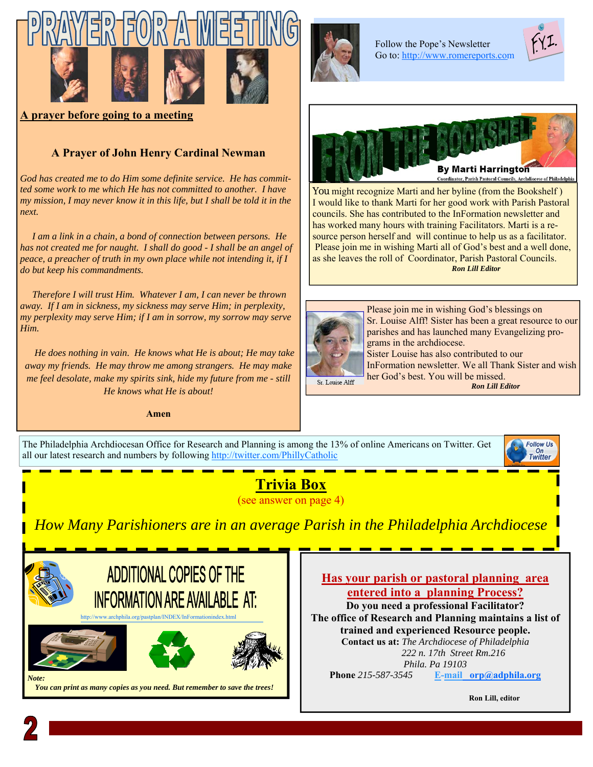







**A prayer before going to a meeting** 

### **A Prayer of John Henry Cardinal Newman**

*God has created me to do Him some definite service. He has committed some work to me which He has not committed to another. I have my mission, I may never know it in this life, but I shall be told it in the next.* 

 *I am a link in a chain, a bond of connection between persons. He has not created me for naught. I shall do good - I shall be an angel of peace, a preacher of truth in my own place while not intending it, if I do but keep his commandments.* 

 *Therefore I will trust Him. Whatever I am, I can never be thrown away. If I am in sickness, my sickness may serve Him; in perplexity, my perplexity may serve Him; if I am in sorrow, my sorrow may serve Him.* 

 *He does nothing in vain. He knows what He is about; He may take away my friends. He may throw me among strangers. He may make me feel desolate, make my spirits sink, hide my future from me - still He knows what He is about!*

**Amen** 



Follow the Pope's Newsletter [Go to: http://www.romereports.com](http://www.romereports.com/palio/index.php?newlang=english) 





You might recognize Marti and her byline (from the Bookshelf) I would like to thank Marti for her good work with Parish Pastoral councils. She has contributed to the InFormation newsletter and has worked many hours with training Facilitators. Marti is a resource person herself and will continue to help us as a facilitator. Please join me in wishing Marti all of God's best and a well done, as she leaves the roll of Coordinator, Parish Pastoral Councils. *Ron Lill Editor* 



Please join me in wishing God's blessings on Sr. Louise Alff! Sister has been a great resource to our parishes and has launched many Evangelizing programs in the archdiocese. Sister Louise has also contributed to our

InFormation newsletter. We all Thank Sister and wish her God's best. You will be missed. *Ron Lill Editor* 

The Philadelphia Archdiocesan Office for Research and Planning is among the 13% of online Americans on Twitter. Get all our latest research and numbers by following http://twitter.com/PhillyCatholic



## **Trivia Box**

(see answer on page 4)

*How Many Parishioners are in an average Parish in the Philadelphia Archdiocese* 



**Has your parish or pastoral planning area entered into a planning Process?** 

**Do you need a professional Facilitator? The office of Research and Planning maintains a list of trained and experienced Resource people. Contact us at:** *The Archdiocese of Philadelphia 222 n. 17th Street Rm.216 Phila. Pa 19103*  **Phone** *215-587-3545* **E-mail orp@adphila.org**

**Ron Lill, editor**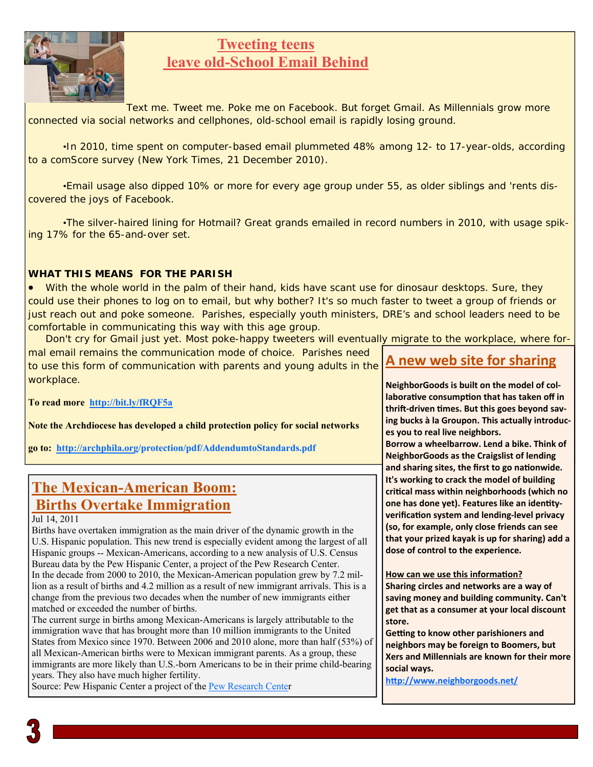

## **Tweeting teens leave old-School Email Behind**

Text me. Tweet me. Poke me on Facebook. But forget Gmail. As Millennials grow more connected via social networks and cellphones, old-school email is rapidly losing ground.

•In 2010, time spent on computer-based email plummeted 48% among 12- to 17-year-olds, according to a comScore survey (*New York Times*, 21 December 2010).

•Email usage also dipped 10% or more for every age group under 55, as older siblings and 'rents discovered the joys of Facebook.

 •The silver-haired lining for Hotmail? Great grands emailed in record numbers in 2010, with usage spiking 17% for the 65-and-over set.

### **WHAT THIS MEANS FOR THE PARISH**

• With the whole world in the palm of their hand, kids have scant use for dinosaur desktops. Sure, they could use their phones to log on to email, but why bother? It's so much faster to tweet a group of friends or just reach out and poke someone. Parishes, especially youth ministers, DRE's and school leaders need to be comfortable in communicating this way with this age group.

Don't cry for Gmail just yet. Most poke-happy tweeters will eventually migrate to the workplace, where formal email remains the communication mode of choice. Parishes need

to use this form of communication with parents and young adults in the workplace.

**To read more http://bit.ly/fRQF5a**

**Note the Archdiocese has developed a child protection policy for social networks** 

**[go to: http://archphila.org/protection/pdf/AddendumtoStandards.pdf](http://archphila.org/protection/pdf/AddendumtoStandards.pdf)** 

## **The Mexican-American Boom: Births Overtake Immigration**

Jul 14, 2011

Births have overtaken immigration as the main driver of the dynamic growth in the U.S. Hispanic population. This new trend is especially evident among the largest of all Hispanic groups -- Mexican-Americans, according to a new analysis of U.S. Census Bureau data by the Pew Hispanic Center, a project of the Pew Research Center. In the decade from 2000 to 2010, the Mexican-American population grew by 7.2 million as a result of births and 4.2 million as a result of new immigrant arrivals. This is a change from the previous two decades when the number of new immigrants either matched or exceeded the number of births.

The current surge in births among Mexican-Americans is largely attributable to the immigration wave that has brought more than 10 million immigrants to the United States from Mexico since 1970. Between 2006 and 2010 alone, more than half (53%) of all Mexican-American births were to Mexican immigrant parents. As a group, these immigrants are more likely than U.S.-born Americans to be in their prime child-bearing years. They also have much higher fertility.

Source: Pew Hispanic Center a project [of the Pew Research Center](http://www.pewhispanic.org/) 

## **A new web site for sharing**

**NeighborGoods is built on the model of collaboraƟve consumpƟon that has taken off in**  thrift-driven times. But this goes beyond sav**ing bucks à la Groupon. This actually introduces you to real live neighbors.** 

**Borrow a wheelbarrow. Lend a bike. Think of NeighborGoods as the Craigslist of lending and sharing sites, the first to go naƟonwide. It's working to crack the model of building criƟcal mass within neighborhoods (which no one has done yet). Features like an identityverificaƟon system and lending-level privacy (so, for example, only close friends can see that your prized kayak is up for sharing) add a dose of control to the experience.** 

**How can we use this information?** 

**Sharing circles and networks are a way of saving money and building community. Can't get that as a consumer at your local discount store.** 

**Getting to know other parishioners and neighbors may be foreign to Boomers, but Xers and Millennials are known for their more social ways.** 

**hƩp://www.neighborgoods.net/**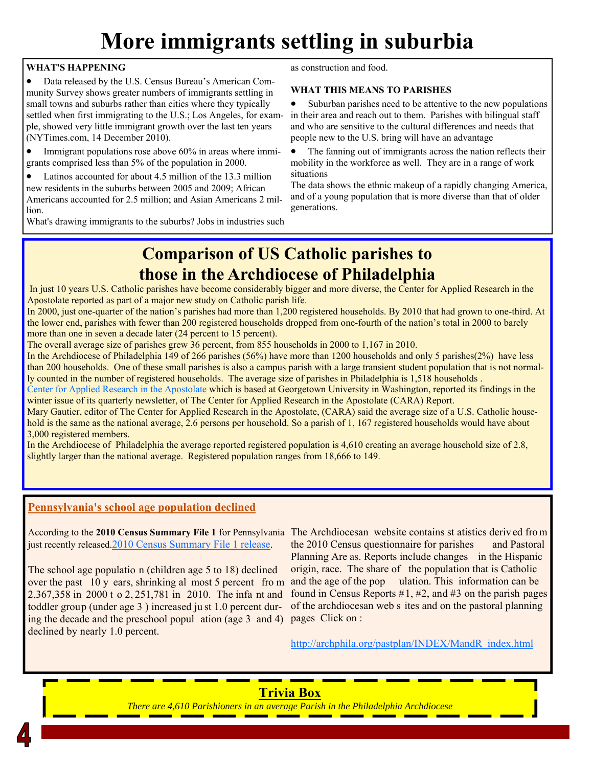## **More immigrants settling in suburbia**

### **WHAT'S HAPPENING**

• Data released by the U.S. Census Bureau's American Community Survey shows greater numbers of immigrants settling in small towns and suburbs rather than cities where they typically settled when first immigrating to the U.S.; Los Angeles, for example, showed very little immigrant growth over the last ten years (NYTimes.com, 14 December 2010).

• Immigrant populations rose above 60% in areas where immigrants comprised less than 5% of the population in 2000.

• Latinos accounted for about 4.5 million of the 13.3 million new residents in the suburbs between 2005 and 2009; African Americans accounted for 2.5 million; and Asian Americans 2 million.

What's drawing immigrants to the suburbs? Jobs in industries such

as construction and food.

### **WHAT THIS MEANS TO PARISHES**

Suburban parishes need to be attentive to the new populations in their area and reach out to them. Parishes with bilingual staff and who are sensitive to the cultural differences and needs that people new to the U.S. bring will have an advantage

The fanning out of immigrants across the nation reflects their mobility in the workforce as well. They are in a range of work situations

The data shows the ethnic makeup of a rapidly changing America, and of a young population that is more diverse than that of older generations.

## **Comparison of US Catholic parishes to those in the Archdiocese of Philadelphia**

 In just 10 years U.S. Catholic parishes have become considerably bigger and more diverse, the Center for Applied Research in the Apostolate reported as part of a major new study on Catholic parish life.

In 2000, just one-quarter of the nation's parishes had more than 1,200 registered households. By 2010 that had grown to one-third. At the lower end, parishes with fewer than 200 registered households dropped from one-fourth of the nation's total in 2000 to barely more than one in seven a decade later (24 percent to 15 percent).

The overall average size of parishes grew 36 percent, from 855 households in 2000 to 1,167 in 2010.

In the Archdiocese of Philadelphia 149 of 266 parishes (56%) have more than 1200 households and only 5 parishes(2%) have less than 200 households. One of these small parishes is also a campus parish with a large transient student population that is not normally counted in the number of registered households. The average size of parishes in Philadelphia is 1,518 households .

[Center for Applied Research in the Apostolate w](http://cara.georgetown.edu/)hich is based at Georgetown University in Washington, reported its findings in the winter issue of its quarterly newsletter, of The Center for Applied Research in the Apostolate (CARA) Report.

Mary Gautier, editor of The Center for Applied Research in the Apostolate, (CARA) said the average size of a U.S. Catholic household is the same as the national average, 2.6 persons per household. So a parish of 1, 167 registered households would have about 3,000 registered members.

In the Archdiocese of Philadelphia the average reported registered population is 4,610 creating an average household size of 2.8, slightly larger than the national average. Registered population ranges from 18,666 to 149.

### **Pennsylvania's school age population declined**

[just recently released.2010 Census Summary File 1 release.](http://2010.census.gov/news/press-kits/summary-file-1.html) 

The school age populatio n (children age 5 to 18) declined over the past 10 y ears, shrinking al most 5 percent fro m 2,367,358 in 2000 t o 2, 251,781 in 2010. The infa nt and toddler group (under age 3 ) increased ju st 1.0 percent during the decade and the preschool popul ation (age 3 and 4) declined by nearly 1.0 percent.

According to the **2010 Census Summary File 1** for Pennsylvania The Archdiocesan website contains st atistics deriv ed fro m the 2010 Census questionnaire for parishes and Pastoral Planning Are as. Reports include changes in the Hispanic origin, race. The share of the population that is Catholic and the age of the pop ulation. This information can be found in Census Reports  $#1, #2,$  and  $#3$  on the parish pages of the archdiocesan web s ites and on the pastoral planning pages Click on :

http://archphila.org/pastplan/INDEX/MandR\_index.html

### **Trivia Box**  *There are 4,610 Parishioners in an average Parish in the Philadelphia Archdiocese*